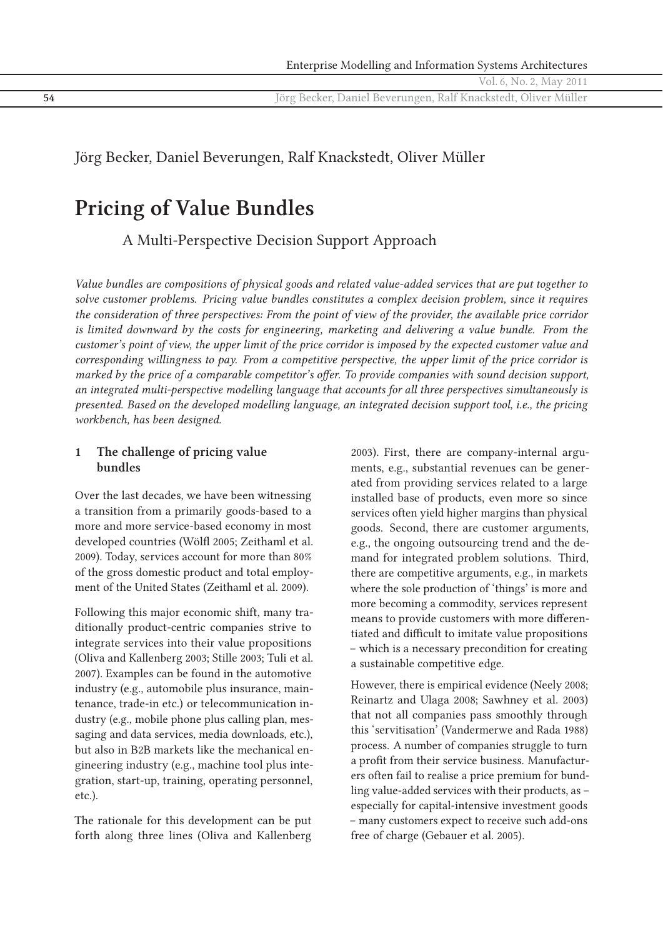Vol. 6, No. 2, May 2011

**54** Jörg Becker, Daniel Beverungen, Ralf Knackstedt, Oliver Müller

## Jörg Becker, Daniel Beverungen, Ralf Knackstedt, Oliver Müller

# **Pricing of Value Bundles**

A Multi-Perspective Decision Support Approach

*Value bundles are compositions of physical goods and related value-added services that are put together to solve customer problems. Pricing value bundles constitutes a complex decision problem, since it requires the consideration of three perspectives: From the point of view of the provider, the available price corridor is limited downward by the costs for engineering, marketing and delivering a value bundle. From the customer's point of view, the upper limit of the price corridor is imposed by the expected customer value and corresponding willingness to pay. From a competitive perspective, the upper limit of the price corridor is marked by the price of a comparable competitor's offer. To provide companies with sound decision support, an integrated multi-perspective modelling language that accounts for all three perspectives simultaneously is presented. Based on the developed modelling language, an integrated decision support tool, i.e., the pricing workbench, has been designed.*

#### **1 The challenge of pricing value bundles**

Over the last decades, we have been witnessing a transition from a primarily goods-based to a more and more service-based economy in most developed countries (Wölfl 2005; Zeithaml et al. 2009). Today, services account for more than 80% of the gross domestic product and total employment of the United States (Zeithaml et al. 2009).

Following this major economic shift, many traditionally product-centric companies strive to integrate services into their value propositions (Oliva and Kallenberg 2003; Stille 2003; Tuli et al. 2007). Examples can be found in the automotive industry (e.g., automobile plus insurance, maintenance, trade-in etc.) or telecommunication industry (e.g., mobile phone plus calling plan, messaging and data services, media downloads, etc.), but also in B2B markets like the mechanical engineering industry (e.g., machine tool plus integration, start-up, training, operating personnel, etc.).

The rationale for this development can be put forth along three lines (Oliva and Kallenberg

2003). First, there are company-internal arguments, e.g., substantial revenues can be generated from providing services related to a large installed base of products, even more so since services often yield higher margins than physical goods. Second, there are customer arguments, e.g., the ongoing outsourcing trend and the demand for integrated problem solutions. Third, there are competitive arguments, e.g., in markets where the sole production of 'things' is more and more becoming a commodity, services represent means to provide customers with more differentiated and difficult to imitate value propositions – which is a necessary precondition for creating a sustainable competitive edge.

However, there is empirical evidence (Neely 2008; Reinartz and Ulaga 2008; Sawhney et al. 2003) that not all companies pass smoothly through this 'servitisation' (Vandermerwe and Rada 1988) process. A number of companies struggle to turn a profit from their service business. Manufacturers often fail to realise a price premium for bundling value-added services with their products, as – especially for capital-intensive investment goods – many customers expect to receive such add-ons free of charge (Gebauer et al. 2005).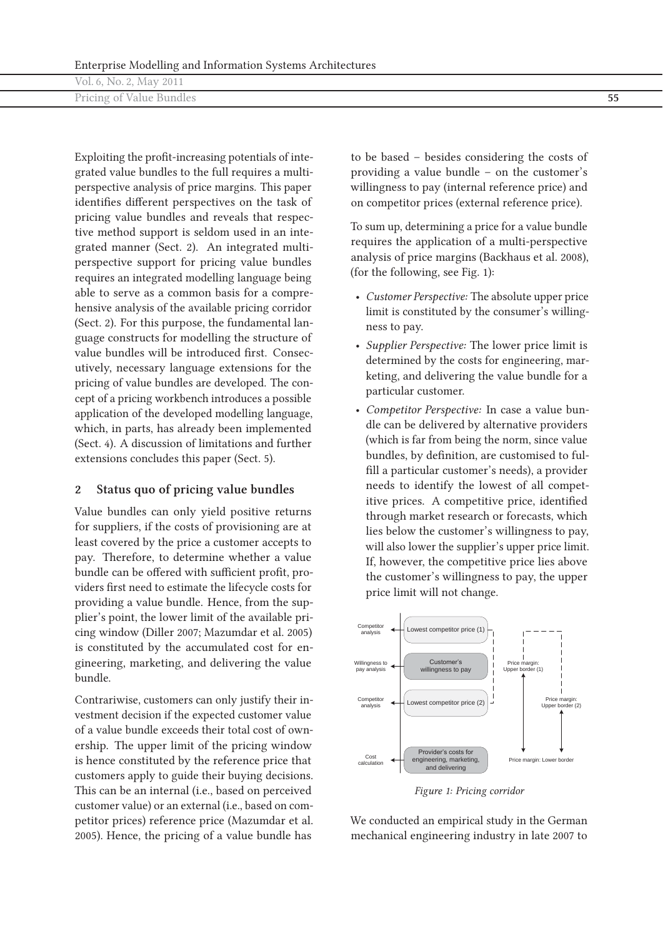| Vol. 6, No. 2, May 2011  |    |
|--------------------------|----|
| Pricing of Value Bundles | ັບ |

Exploiting the profit-increasing potentials of integrated value bundles to the full requires a multiperspective analysis of price margins. This paper identifies different perspectives on the task of pricing value bundles and reveals that respective method support is seldom used in an integrated manner (Sect. 2). An integrated multiperspective support for pricing value bundles requires an integrated modelling language being able to serve as a common basis for a comprehensive analysis of the available pricing corridor (Sect. 2). For this purpose, the fundamental language constructs for modelling the structure of value bundles will be introduced first. Consecutively, necessary language extensions for the pricing of value bundles are developed. The concept of a pricing workbench introduces a possible application of the developed modelling language, which, in parts, has already been implemented (Sect. 4). A discussion of limitations and further extensions concludes this paper (Sect. 5).

#### **2 Status quo of pricing value bundles**

Value bundles can only yield positive returns for suppliers, if the costs of provisioning are at least covered by the price a customer accepts to pay. Therefore, to determine whether a value bundle can be offered with sufficient profit, providers first need to estimate the lifecycle costs for providing a value bundle. Hence, from the supplier's point, the lower limit of the available pricing window (Diller 2007; Mazumdar et al. 2005) is constituted by the accumulated cost for engineering, marketing, and delivering the value bundle.

Contrariwise, customers can only justify their investment decision if the expected customer value of a value bundle exceeds their total cost of ownership. The upper limit of the pricing window is hence constituted by the reference price that customers apply to guide their buying decisions. This can be an internal (i.e., based on perceived customer value) or an external (i.e., based on competitor prices) reference price (Mazumdar et al. 2005). Hence, the pricing of a value bundle has

to be based – besides considering the costs of providing a value bundle – on the customer's willingness to pay (internal reference price) and on competitor prices (external reference price).

To sum up, determining a price for a value bundle requires the application of a multi-perspective analysis of price margins (Backhaus et al. 2008), (for the following, see Fig. 1):

- *Customer Perspective:* The absolute upper price limit is constituted by the consumer's willingness to pay.
- *Supplier Perspective:* The lower price limit is determined by the costs for engineering, marketing, and delivering the value bundle for a particular customer.
- *Competitor Perspective:* In case a value bundle can be delivered by alternative providers (which is far from being the norm, since value bundles, by definition, are customised to fulfill a particular customer's needs), a provider needs to identify the lowest of all competitive prices. A competitive price, identified through market research or forecasts, which lies below the customer's willingness to pay, will also lower the supplier's upper price limit. If, however, the competitive price lies above the customer's willingness to pay, the upper price limit will not change.



*Figure 1: Pricing corridor*

We conducted an empirical study in the German mechanical engineering industry in late 2007 to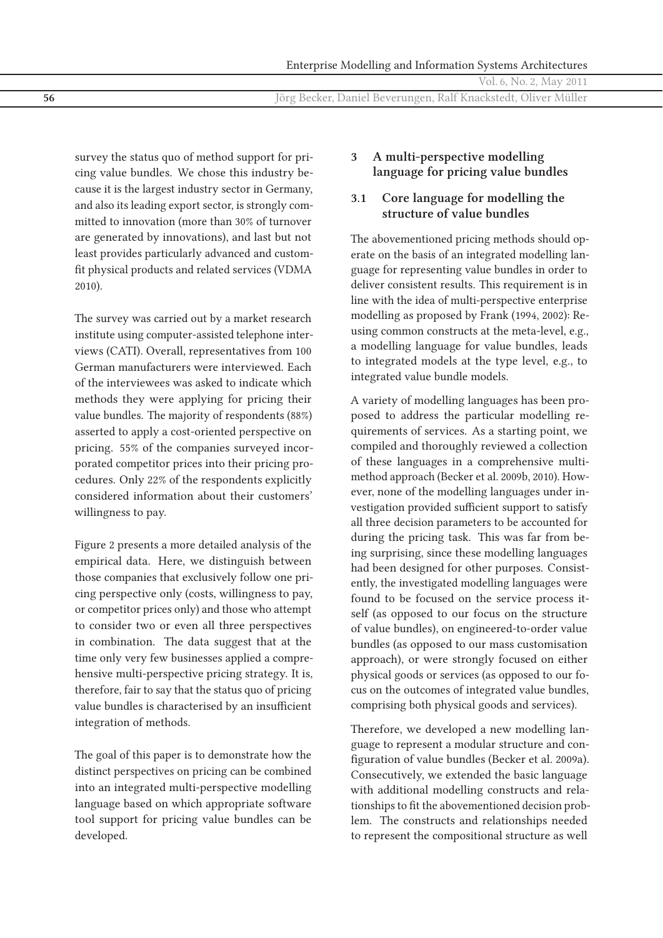Enterprise Modelling and Information Systems Architectures Vol. 6, No. 2, May 2011 **56** Jörg Becker, Daniel Beverungen, Ralf Knackstedt, Oliver Müller

survey the status quo of method support for pricing value bundles. We chose this industry because it is the largest industry sector in Germany, and also its leading export sector, is strongly committed to innovation (more than 30% of turnover are generated by innovations), and last but not least provides particularly advanced and customfit physical products and related services (VDMA 2010).

The survey was carried out by a market research institute using computer-assisted telephone interviews (CATI). Overall, representatives from 100 German manufacturers were interviewed. Each of the interviewees was asked to indicate which methods they were applying for pricing their value bundles. The majority of respondents (88%) asserted to apply a cost-oriented perspective on pricing. 55% of the companies surveyed incorporated competitor prices into their pricing procedures. Only 22% of the respondents explicitly considered information about their customers' willingness to pay.

Figure 2 presents a more detailed analysis of the empirical data. Here, we distinguish between those companies that exclusively follow one pricing perspective only (costs, willingness to pay, or competitor prices only) and those who attempt to consider two or even all three perspectives in combination. The data suggest that at the time only very few businesses applied a comprehensive multi-perspective pricing strategy. It is, therefore, fair to say that the status quo of pricing value bundles is characterised by an insufficient integration of methods.

The goal of this paper is to demonstrate how the distinct perspectives on pricing can be combined into an integrated multi-perspective modelling language based on which appropriate software tool support for pricing value bundles can be developed.

## **3 A multi-perspective modelling language for pricing value bundles**

## **3.1 Core language for modelling the structure of value bundles**

The abovementioned pricing methods should operate on the basis of an integrated modelling language for representing value bundles in order to deliver consistent results. This requirement is in line with the idea of multi-perspective enterprise modelling as proposed by Frank (1994, 2002): Reusing common constructs at the meta-level, e.g., a modelling language for value bundles, leads to integrated models at the type level, e.g., to integrated value bundle models.

A variety of modelling languages has been proposed to address the particular modelling requirements of services. As a starting point, we compiled and thoroughly reviewed a collection of these languages in a comprehensive multimethod approach (Becker et al. 2009b, 2010). However, none of the modelling languages under investigation provided sufficient support to satisfy all three decision parameters to be accounted for during the pricing task. This was far from being surprising, since these modelling languages had been designed for other purposes. Consistently, the investigated modelling languages were found to be focused on the service process itself (as opposed to our focus on the structure of value bundles), on engineered-to-order value bundles (as opposed to our mass customisation approach), or were strongly focused on either physical goods or services (as opposed to our focus on the outcomes of integrated value bundles, comprising both physical goods and services).

Therefore, we developed a new modelling language to represent a modular structure and configuration of value bundles (Becker et al. 2009a). Consecutively, we extended the basic language with additional modelling constructs and relationships to fit the abovementioned decision problem. The constructs and relationships needed to represent the compositional structure as well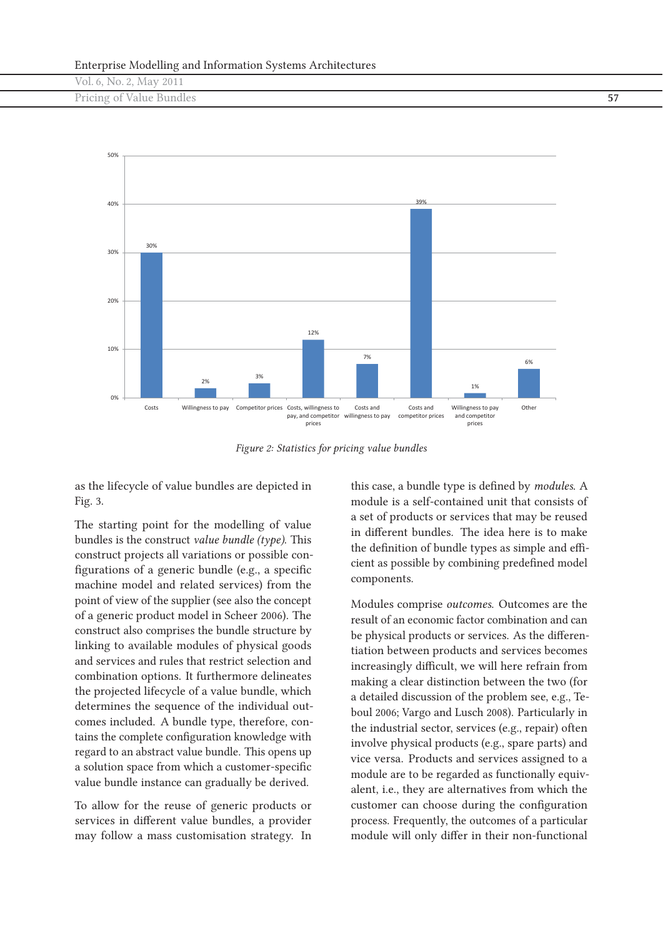| __                       |  |
|--------------------------|--|
| Vol. 6, No. 2, May 2011  |  |
| Pricing of Value Bundles |  |
|                          |  |



*Figure 2: Statistics for pricing value bundles*

as the lifecycle of value bundles are depicted in Fig. 3.

The starting point for the modelling of value bundles is the construct *value bundle (type)*. This construct projects all variations or possible configurations of a generic bundle (e.g., a specific machine model and related services) from the point of view of the supplier (see also the concept of a generic product model in Scheer 2006). The construct also comprises the bundle structure by linking to available modules of physical goods and services and rules that restrict selection and combination options. It furthermore delineates the projected lifecycle of a value bundle, which determines the sequence of the individual outcomes included. A bundle type, therefore, contains the complete configuration knowledge with regard to an abstract value bundle. This opens up a solution space from which a customer-specific value bundle instance can gradually be derived.

To allow for the reuse of generic products or services in different value bundles, a provider may follow a mass customisation strategy. In

this case, a bundle type is defined by *modules*. A module is a self-contained unit that consists of a set of products or services that may be reused in different bundles. The idea here is to make the definition of bundle types as simple and efficient as possible by combining predefined model components.

Modules comprise *outcomes*. Outcomes are the result of an economic factor combination and can be physical products or services. As the differentiation between products and services becomes increasingly difficult, we will here refrain from making a clear distinction between the two (for a detailed discussion of the problem see, e.g., Teboul 2006; Vargo and Lusch 2008). Particularly in the industrial sector, services (e.g., repair) often involve physical products (e.g., spare parts) and vice versa. Products and services assigned to a module are to be regarded as functionally equivalent, i.e., they are alternatives from which the customer can choose during the configuration process. Frequently, the outcomes of a particular module will only differ in their non-functional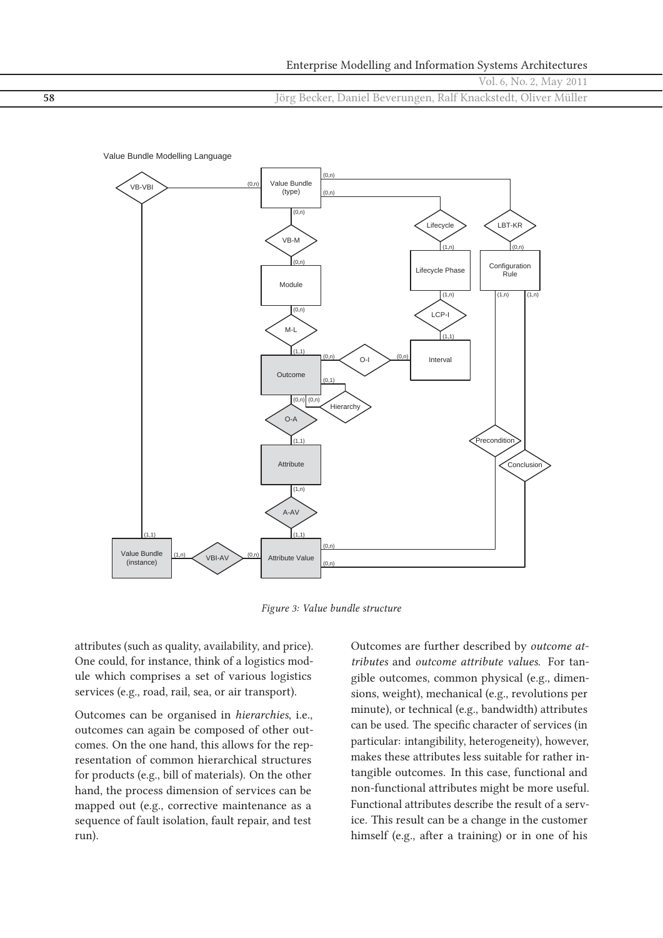|    | Enterprise Modelling and Information Systems Architectures     |
|----|----------------------------------------------------------------|
|    | Vol. 6, No. 2, May 2011                                        |
| 58 | Jörg Becker, Daniel Beverungen, Ralf Knackstedt, Oliver Müller |



*Figure 3: Value bundle structure*

attributes (such as quality, availability, and price). One could, for instance, think of a logistics module which comprises a set of various logistics services (e.g., road, rail, sea, or air transport).

Outcomes can be organised in *hierarchies*, i.e., outcomes can again be composed of other outcomes. On the one hand, this allows for the representation of common hierarchical structures for products (e.g., bill of materials). On the other hand, the process dimension of services can be mapped out (e.g., corrective maintenance as a sequence of fault isolation, fault repair, and test run).

Outcomes are further described by *outcome attributes* and *outcome attribute values*. For tangible outcomes, common physical (e.g., dimensions, weight), mechanical (e.g., revolutions per minute), or technical (e.g., bandwidth) attributes can be used. The specific character of services (in particular: intangibility, heterogeneity), however, makes these attributes less suitable for rather intangible outcomes. In this case, functional and non-functional attributes might be more useful. Functional attributes describe the result of a service. This result can be a change in the customer himself (e.g., after a training) or in one of his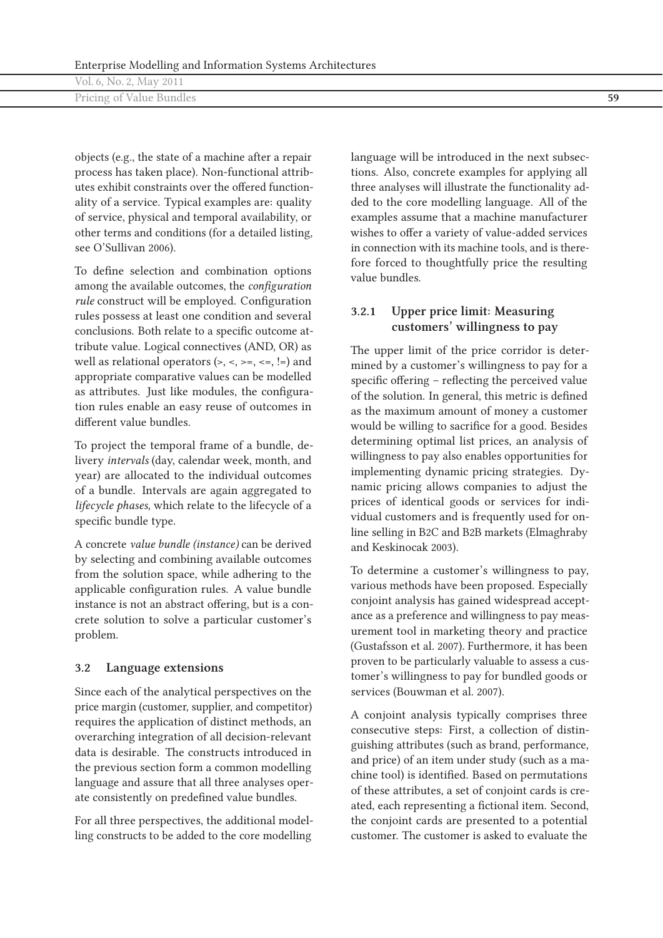| Vol. 6, No. 2, May 2011  |  |
|--------------------------|--|
| Pricing of Value Bundles |  |
|                          |  |

objects (e.g., the state of a machine after a repair process has taken place). Non-functional attributes exhibit constraints over the offered functionality of a service. Typical examples are: quality of service, physical and temporal availability, or other terms and conditions (for a detailed listing, see O'Sullivan 2006).

To define selection and combination options among the available outcomes, the *configuration rule* construct will be employed. Configuration rules possess at least one condition and several conclusions. Both relate to a specific outcome attribute value. Logical connectives (AND, OR) as well as relational operators  $(\ge, \le, \ge, \le, \le, \le)$  and appropriate comparative values can be modelled as attributes. Just like modules, the configuration rules enable an easy reuse of outcomes in different value bundles.

To project the temporal frame of a bundle, delivery *intervals* (day, calendar week, month, and year) are allocated to the individual outcomes of a bundle. Intervals are again aggregated to *lifecycle phases*, which relate to the lifecycle of a specific bundle type.

A concrete *value bundle (instance)* can be derived by selecting and combining available outcomes from the solution space, while adhering to the applicable configuration rules. A value bundle instance is not an abstract offering, but is a concrete solution to solve a particular customer's problem.

#### **3.2 Language extensions**

Since each of the analytical perspectives on the price margin (customer, supplier, and competitor) requires the application of distinct methods, an overarching integration of all decision-relevant data is desirable. The constructs introduced in the previous section form a common modelling language and assure that all three analyses operate consistently on predefined value bundles.

For all three perspectives, the additional modelling constructs to be added to the core modelling

language will be introduced in the next subsections. Also, concrete examples for applying all three analyses will illustrate the functionality added to the core modelling language. All of the examples assume that a machine manufacturer wishes to offer a variety of value-added services in connection with its machine tools, and is therefore forced to thoughtfully price the resulting value bundles.

#### **3.2.1 Upper price limit: Measuring customers' willingness to pay**

The upper limit of the price corridor is determined by a customer's willingness to pay for a specific offering – reflecting the perceived value of the solution. In general, this metric is defined as the maximum amount of money a customer would be willing to sacrifice for a good. Besides determining optimal list prices, an analysis of willingness to pay also enables opportunities for implementing dynamic pricing strategies. Dynamic pricing allows companies to adjust the prices of identical goods or services for individual customers and is frequently used for online selling in B2C and B2B markets (Elmaghraby and Keskinocak 2003).

To determine a customer's willingness to pay, various methods have been proposed. Especially conjoint analysis has gained widespread acceptance as a preference and willingness to pay measurement tool in marketing theory and practice (Gustafsson et al. 2007). Furthermore, it has been proven to be particularly valuable to assess a customer's willingness to pay for bundled goods or services (Bouwman et al. 2007).

A conjoint analysis typically comprises three consecutive steps: First, a collection of distinguishing attributes (such as brand, performance, and price) of an item under study (such as a machine tool) is identified. Based on permutations of these attributes, a set of conjoint cards is created, each representing a fictional item. Second, the conjoint cards are presented to a potential customer. The customer is asked to evaluate the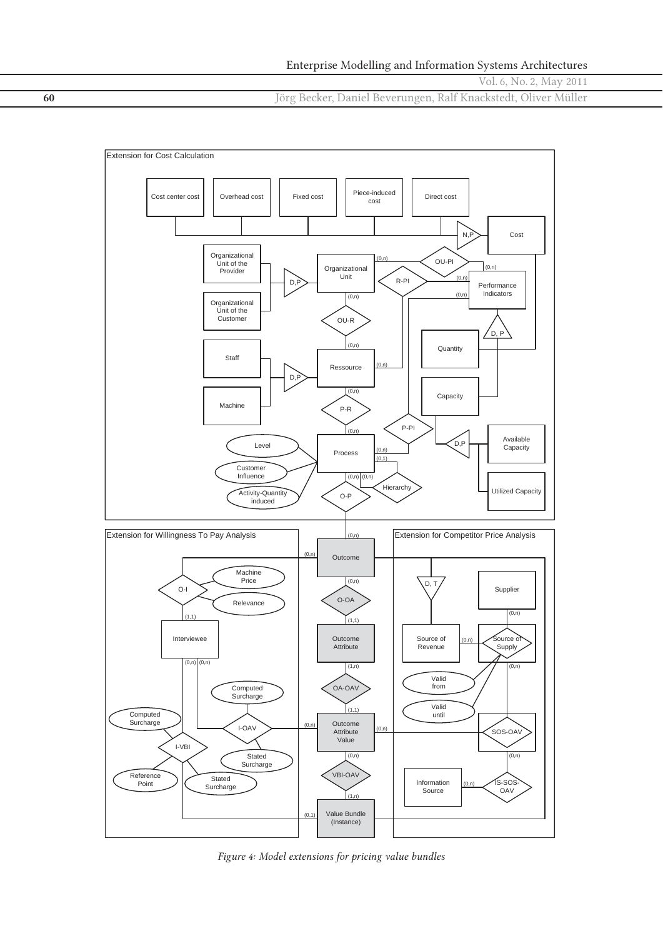Vol. 6, No. 2, May 2011

**60** Jörg Becker, Daniel Beverungen, Ralf Knackstedt, Oliver Müller



*Figure 4: Model extensions for pricing value bundles*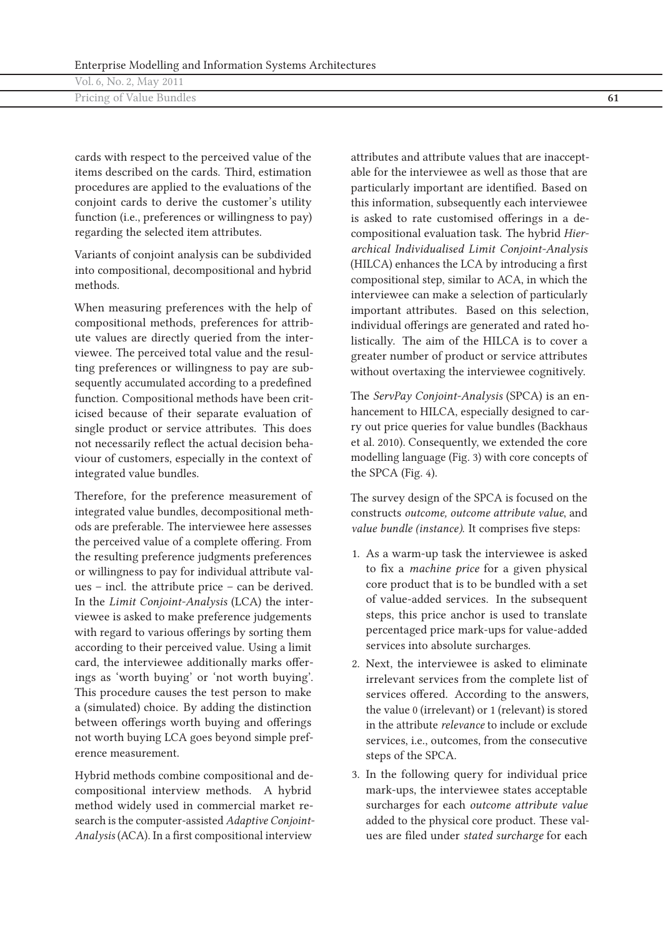| Vol. 6, No. 2, May 2011  |  |
|--------------------------|--|
| Pricing of Value Bundles |  |

cards with respect to the perceived value of the items described on the cards. Third, estimation procedures are applied to the evaluations of the conjoint cards to derive the customer's utility function (i.e., preferences or willingness to pay) regarding the selected item attributes.

Variants of conjoint analysis can be subdivided into compositional, decompositional and hybrid methods.

When measuring preferences with the help of compositional methods, preferences for attribute values are directly queried from the interviewee. The perceived total value and the resulting preferences or willingness to pay are subsequently accumulated according to a predefined function. Compositional methods have been criticised because of their separate evaluation of single product or service attributes. This does not necessarily reflect the actual decision behaviour of customers, especially in the context of integrated value bundles.

Therefore, for the preference measurement of integrated value bundles, decompositional methods are preferable. The interviewee here assesses the perceived value of a complete offering. From the resulting preference judgments preferences or willingness to pay for individual attribute values – incl. the attribute price – can be derived. In the *Limit Conjoint-Analysis* (LCA) the interviewee is asked to make preference judgements with regard to various offerings by sorting them according to their perceived value. Using a limit card, the interviewee additionally marks offerings as 'worth buying' or 'not worth buying'. This procedure causes the test person to make a (simulated) choice. By adding the distinction between offerings worth buying and offerings not worth buying LCA goes beyond simple preference measurement.

Hybrid methods combine compositional and decompositional interview methods. A hybrid method widely used in commercial market research is the computer-assisted *Adaptive Conjoint-Analysis* (ACA). In a first compositional interview

attributes and attribute values that are inacceptable for the interviewee as well as those that are particularly important are identified. Based on this information, subsequently each interviewee is asked to rate customised offerings in a decompositional evaluation task. The hybrid *Hierarchical Individualised Limit Conjoint-Analysis* (HILCA) enhances the LCA by introducing a first compositional step, similar to ACA, in which the interviewee can make a selection of particularly important attributes. Based on this selection, individual offerings are generated and rated holistically. The aim of the HILCA is to cover a greater number of product or service attributes without overtaxing the interviewee cognitively.

The *ServPay Conjoint-Analysis* (SPCA) is an enhancement to HILCA, especially designed to carry out price queries for value bundles (Backhaus et al. 2010). Consequently, we extended the core modelling language (Fig. 3) with core concepts of the SPCA (Fig. 4).

The survey design of the SPCA is focused on the constructs *outcome, outcome attribute value*, and *value bundle (instance)*. It comprises five steps:

- 1. As a warm-up task the interviewee is asked to fix a *machine price* for a given physical core product that is to be bundled with a set of value-added services. In the subsequent steps, this price anchor is used to translate percentaged price mark-ups for value-added services into absolute surcharges.
- 2. Next, the interviewee is asked to eliminate irrelevant services from the complete list of services offered. According to the answers, the value 0 (irrelevant) or 1 (relevant) is stored in the attribute *relevance* to include or exclude services, i.e., outcomes, from the consecutive steps of the SPCA.
- 3. In the following query for individual price mark-ups, the interviewee states acceptable surcharges for each *outcome attribute value* added to the physical core product. These values are filed under *stated surcharge* for each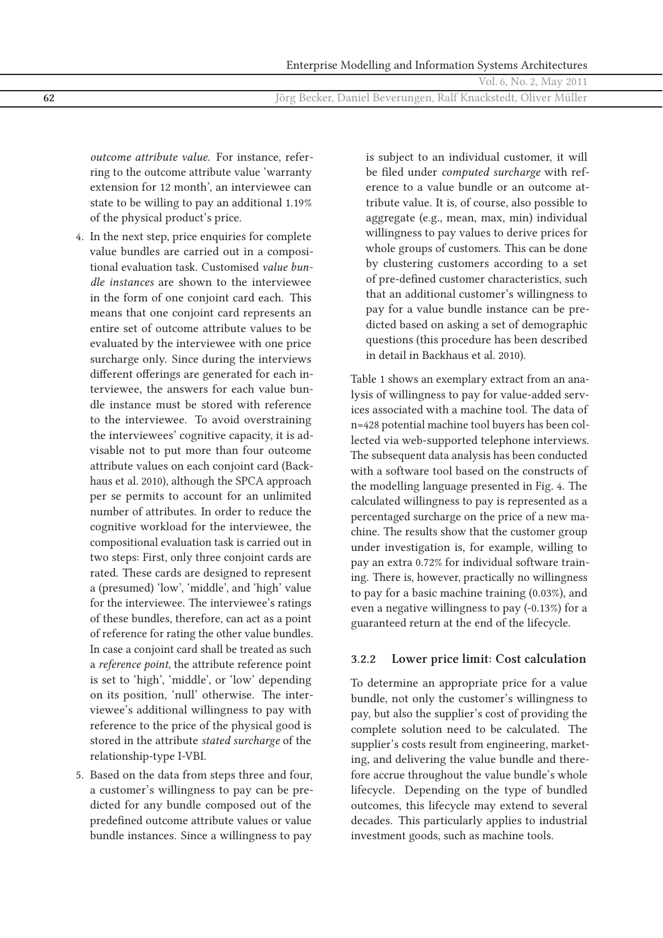*outcome attribute value*. For instance, referring to the outcome attribute value 'warranty extension for 12 month', an interviewee can state to be willing to pay an additional 1.19% of the physical product's price.

- 4. In the next step, price enquiries for complete value bundles are carried out in a compositional evaluation task. Customised *value bundle instances* are shown to the interviewee in the form of one conjoint card each. This means that one conjoint card represents an entire set of outcome attribute values to be evaluated by the interviewee with one price surcharge only. Since during the interviews different offerings are generated for each interviewee, the answers for each value bundle instance must be stored with reference to the interviewee. To avoid overstraining the interviewees' cognitive capacity, it is advisable not to put more than four outcome attribute values on each conjoint card (Backhaus et al. 2010), although the SPCA approach per se permits to account for an unlimited number of attributes. In order to reduce the cognitive workload for the interviewee, the compositional evaluation task is carried out in two steps: First, only three conjoint cards are rated. These cards are designed to represent a (presumed) 'low', 'middle', and 'high' value for the interviewee. The interviewee's ratings of these bundles, therefore, can act as a point of reference for rating the other value bundles. In case a conjoint card shall be treated as such a *reference point*, the attribute reference point is set to 'high', 'middle', or 'low' depending on its position, 'null' otherwise. The interviewee's additional willingness to pay with reference to the price of the physical good is stored in the attribute *stated surcharge* of the relationship-type I-VBI.
- 5. Based on the data from steps three and four, a customer's willingness to pay can be predicted for any bundle composed out of the predefined outcome attribute values or value bundle instances. Since a willingness to pay

is subject to an individual customer, it will be filed under *computed surcharge* with reference to a value bundle or an outcome attribute value. It is, of course, also possible to aggregate (e.g., mean, max, min) individual willingness to pay values to derive prices for whole groups of customers. This can be done by clustering customers according to a set of pre-defined customer characteristics, such that an additional customer's willingness to pay for a value bundle instance can be predicted based on asking a set of demographic questions (this procedure has been described in detail in Backhaus et al. 2010).

Table 1 shows an exemplary extract from an analysis of willingness to pay for value-added services associated with a machine tool. The data of n=428 potential machine tool buyers has been collected via web-supported telephone interviews. The subsequent data analysis has been conducted with a software tool based on the constructs of the modelling language presented in Fig. 4. The calculated willingness to pay is represented as a percentaged surcharge on the price of a new machine. The results show that the customer group under investigation is, for example, willing to pay an extra 0.72% for individual software training. There is, however, practically no willingness to pay for a basic machine training (0.03%), and even a negative willingness to pay (-0.13%) for a guaranteed return at the end of the lifecycle.

#### **3.2.2 Lower price limit: Cost calculation**

To determine an appropriate price for a value bundle, not only the customer's willingness to pay, but also the supplier's cost of providing the complete solution need to be calculated. The supplier's costs result from engineering, marketing, and delivering the value bundle and therefore accrue throughout the value bundle's whole lifecycle. Depending on the type of bundled outcomes, this lifecycle may extend to several decades. This particularly applies to industrial investment goods, such as machine tools.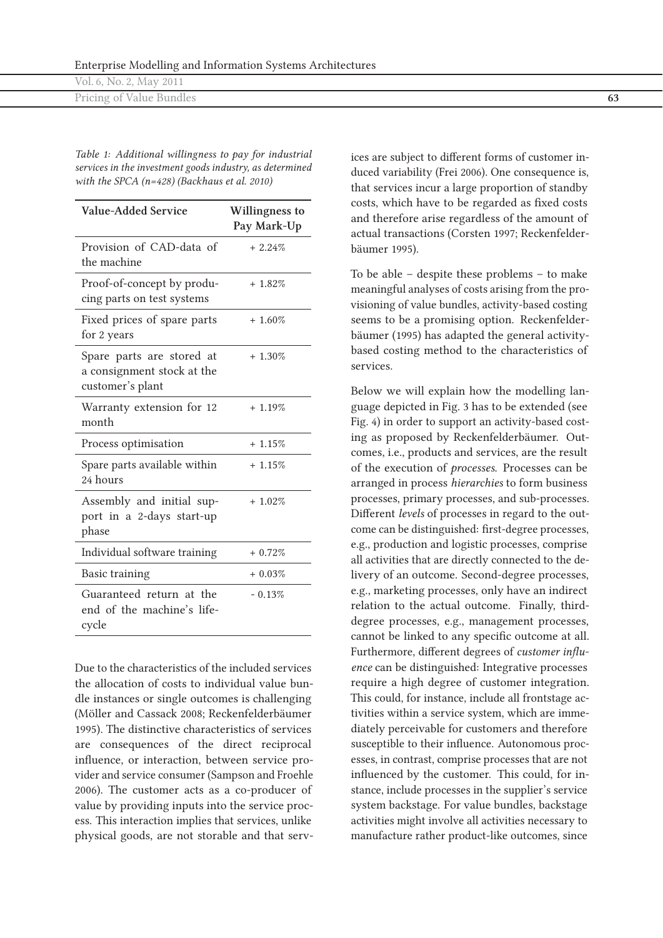| __<br>__                 |  |
|--------------------------|--|
| Vol. 6, No. 2, May 2011  |  |
| Pricing of Value Bundles |  |
|                          |  |

*Table 1: Additional willingness to pay for industrial services in the investment goods industry, as determined with the SPCA (n=428) (Backhaus et al. 2010)*

| <b>Value-Added Service</b>                                                  | <b>Willingness to</b><br>Pay Mark-Up |
|-----------------------------------------------------------------------------|--------------------------------------|
| Provision of CAD-data of<br>the machine                                     | $+2.24\%$                            |
| Proof-of-concept by produ-<br>cing parts on test systems                    | $+ 1.82%$                            |
| Fixed prices of spare parts<br>for 2 years                                  | $+ 1.60\%$                           |
| Spare parts are stored at<br>a consignment stock at the<br>customer's plant | $+1.30\%$                            |
| Warranty extension for 12<br>month                                          | $+1.19%$                             |
| Process optimisation                                                        | $+1.15%$                             |
| Spare parts available within<br>24 hours                                    | $+1.15%$                             |
| Assembly and initial sup-<br>port in a 2-days start-up<br>phase             | $+1.02\%$                            |
| Individual software training                                                | $+0.72%$                             |
| <b>Basic training</b>                                                       | $+0.03%$                             |
| Guaranteed return at the<br>end of the machine's life-<br>cycle             | $-0.13%$                             |

Due to the characteristics of the included services the allocation of costs to individual value bundle instances or single outcomes is challenging (Möller and Cassack 2008; Reckenfelderbäumer 1995). The distinctive characteristics of services are consequences of the direct reciprocal influence, or interaction, between service provider and service consumer (Sampson and Froehle 2006). The customer acts as a co-producer of value by providing inputs into the service process. This interaction implies that services, unlike physical goods, are not storable and that serv-

ices are subject to different forms of customer induced variability (Frei 2006). One consequence is, that services incur a large proportion of standby costs, which have to be regarded as fixed costs and therefore arise regardless of the amount of actual transactions (Corsten 1997; Reckenfelderbäumer 1995).

To be able – despite these problems – to make meaningful analyses of costs arising from the provisioning of value bundles, activity-based costing seems to be a promising option. Reckenfelderbäumer (1995) has adapted the general activitybased costing method to the characteristics of services.

Below we will explain how the modelling language depicted in Fig. 3 has to be extended (see Fig. 4) in order to support an activity-based costing as proposed by Reckenfelderbäumer. Outcomes, i.e., products and services, are the result of the execution of *processes*. Processes can be arranged in process *hierarchies* to form business processes, primary processes, and sub-processes. Different *levels* of processes in regard to the outcome can be distinguished: first-degree processes, e.g., production and logistic processes, comprise all activities that are directly connected to the delivery of an outcome. Second-degree processes, e.g., marketing processes, only have an indirect relation to the actual outcome. Finally, thirddegree processes, e.g., management processes, cannot be linked to any specific outcome at all. Furthermore, different degrees of *customer influence* can be distinguished: Integrative processes require a high degree of customer integration. This could, for instance, include all frontstage activities within a service system, which are immediately perceivable for customers and therefore susceptible to their influence. Autonomous processes, in contrast, comprise processes that are not influenced by the customer. This could, for instance, include processes in the supplier's service system backstage. For value bundles, backstage activities might involve all activities necessary to manufacture rather product-like outcomes, since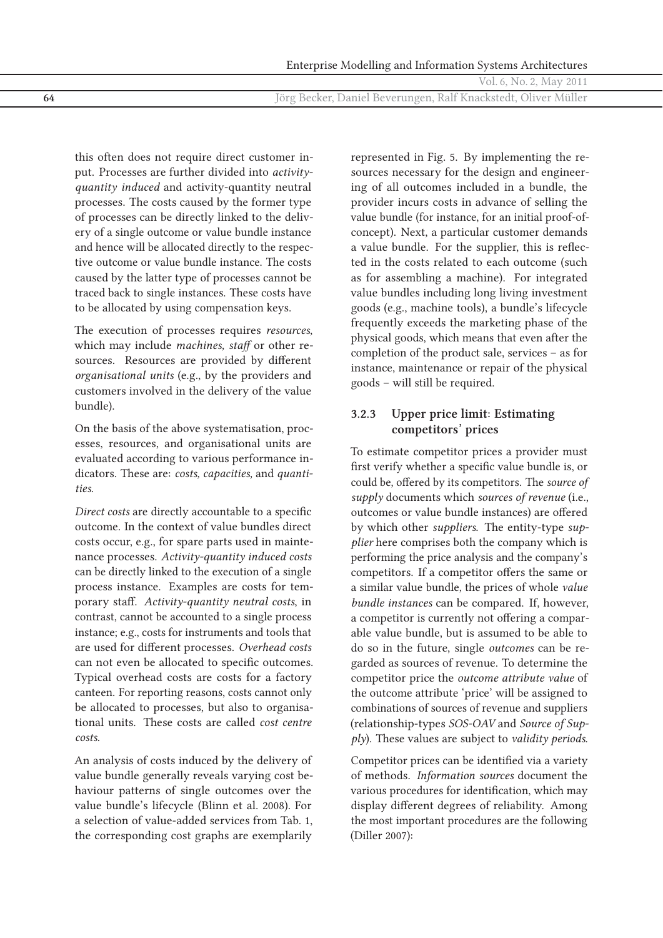this often does not require direct customer input. Processes are further divided into *activityquantity induced* and activity-quantity neutral processes. The costs caused by the former type of processes can be directly linked to the delivery of a single outcome or value bundle instance and hence will be allocated directly to the respective outcome or value bundle instance. The costs caused by the latter type of processes cannot be traced back to single instances. These costs have to be allocated by using compensation keys.

The execution of processes requires *resources*, which may include *machines, staff* or other resources. Resources are provided by different *organisational units* (e.g., by the providers and customers involved in the delivery of the value bundle).

On the basis of the above systematisation, processes, resources, and organisational units are evaluated according to various performance indicators. These are: *costs, capacities,* and *quantities*.

*Direct costs* are directly accountable to a specific outcome. In the context of value bundles direct costs occur, e.g., for spare parts used in maintenance processes. *Activity-quantity induced costs* can be directly linked to the execution of a single process instance. Examples are costs for temporary staff. *Activity-quantity neutral costs*, in contrast, cannot be accounted to a single process instance; e.g., costs for instruments and tools that are used for different processes. *Overhead costs* can not even be allocated to specific outcomes. Typical overhead costs are costs for a factory canteen. For reporting reasons, costs cannot only be allocated to processes, but also to organisational units. These costs are called *cost centre costs*.

An analysis of costs induced by the delivery of value bundle generally reveals varying cost behaviour patterns of single outcomes over the value bundle's lifecycle (Blinn et al. 2008). For a selection of value-added services from Tab. 1, the corresponding cost graphs are exemplarily

represented in Fig. 5. By implementing the resources necessary for the design and engineering of all outcomes included in a bundle, the provider incurs costs in advance of selling the value bundle (for instance, for an initial proof-ofconcept). Next, a particular customer demands a value bundle. For the supplier, this is reflected in the costs related to each outcome (such as for assembling a machine). For integrated value bundles including long living investment goods (e.g., machine tools), a bundle's lifecycle frequently exceeds the marketing phase of the physical goods, which means that even after the completion of the product sale, services – as for instance, maintenance or repair of the physical goods – will still be required.

## **3.2.3 Upper price limit: Estimating competitors' prices**

To estimate competitor prices a provider must first verify whether a specific value bundle is, or could be, offered by its competitors. The *source of supply* documents which *sources of revenue* (i.e., outcomes or value bundle instances) are offered by which other *suppliers*. The entity-type *supplier* here comprises both the company which is performing the price analysis and the company's competitors. If a competitor offers the same or a similar value bundle, the prices of whole *value bundle instances* can be compared. If, however, a competitor is currently not offering a comparable value bundle, but is assumed to be able to do so in the future, single *outcomes* can be regarded as sources of revenue. To determine the competitor price the *outcome attribute value* of the outcome attribute 'price' will be assigned to combinations of sources of revenue and suppliers (relationship-types *SOS-OAV* and *Source of Supply*). These values are subject to *validity periods*.

Competitor prices can be identified via a variety of methods. *Information sources* document the various procedures for identification, which may display different degrees of reliability. Among the most important procedures are the following (Diller 2007):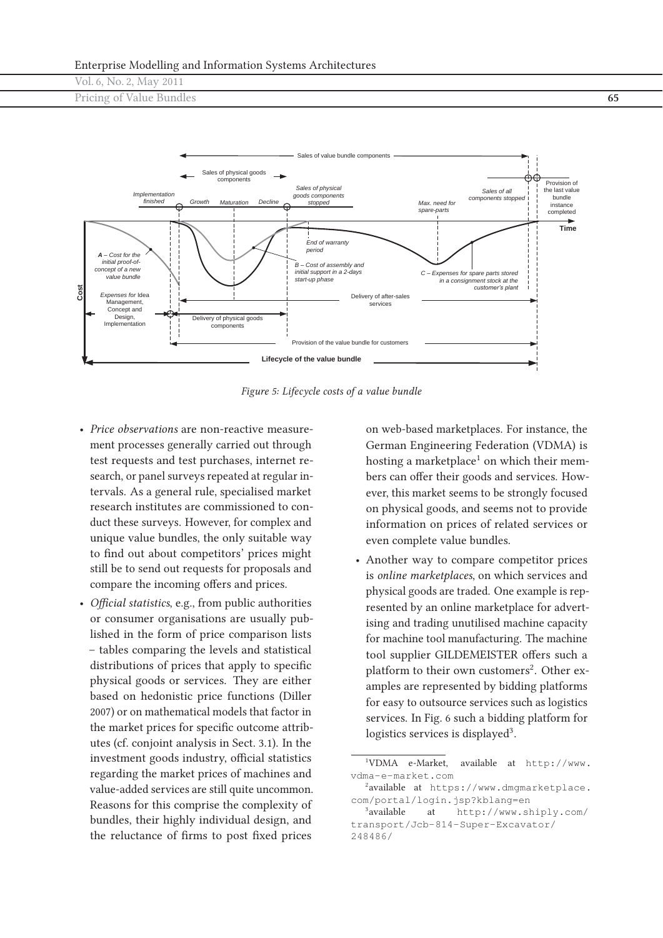Vol. 6, No. 2, May 2011

Pricing of Value Bundles **65**



*Figure 5: Lifecycle costs of a value bundle*

- *Price observations* are non-reactive measurement processes generally carried out through test requests and test purchases, internet research, or panel surveys repeated at regular intervals. As a general rule, specialised market research institutes are commissioned to conduct these surveys. However, for complex and unique value bundles, the only suitable way to find out about competitors' prices might still be to send out requests for proposals and compare the incoming offers and prices.
- *Official statistics*, e.g., from public authorities or consumer organisations are usually published in the form of price comparison lists – tables comparing the levels and statistical distributions of prices that apply to specific physical goods or services. They are either based on hedonistic price functions (Diller 2007) or on mathematical models that factor in the market prices for specific outcome attributes (cf. conjoint analysis in Sect. 3.1). In the investment goods industry, official statistics regarding the market prices of machines and value-added services are still quite uncommon. Reasons for this comprise the complexity of bundles, their highly individual design, and the reluctance of firms to post fixed prices

on web-based marketplaces. For instance, the German Engineering Federation (VDMA) is hosting a marketplace<sup>1</sup> on which their members can offer their goods and services. However, this market seems to be strongly focused on physical goods, and seems not to provide information on prices of related services or even complete value bundles.

• Another way to compare competitor prices is *online marketplaces*, on which services and physical goods are traded. One example is represented by an online marketplace for advertising and trading unutilised machine capacity for machine tool manufacturing. The machine tool supplier GILDEMEISTER offers such a platform to their own customers<sup>2</sup>. Other examples are represented by bidding platforms for easy to outsource services such as logistics services. In Fig. 6 such a bidding platform for logistics services is displayed<sup>3</sup>.

<sup>&</sup>lt;sup>1</sup>VDMA e-Market. available at http://www. vdma-e-market.com

<sup>2</sup> available at https://www.dmgmarketplace. com/portal/login.jsp?kblang=en

<sup>&</sup>lt;sup>3</sup> available at http://www.shiply.com/ transport/Jcb-814-Super-Excavator/ 248486/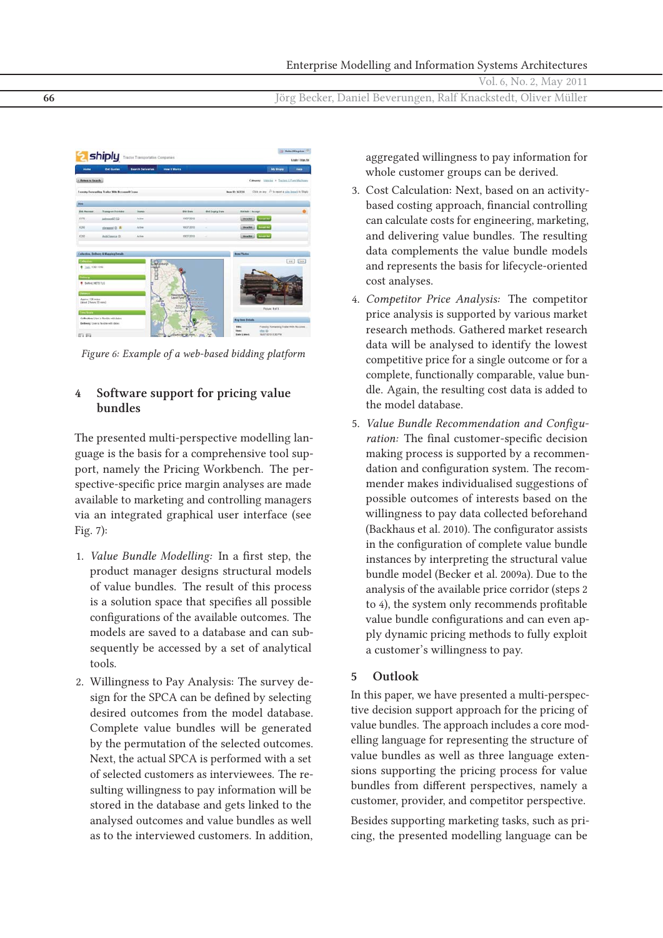**66** Jörg Becker, Daniel Beverungen, Ralf Knackstedt, Oliver Müller



*Figure 6: Example of a web-based bidding platform*

## **4 Software support for pricing value bundles**

The presented multi-perspective modelling language is the basis for a comprehensive tool support, namely the Pricing Workbench. The perspective-specific price margin analyses are made available to marketing and controlling managers via an integrated graphical user interface (see Fig. 7):

- 1. *Value Bundle Modelling:* In a first step, the product manager designs structural models of value bundles. The result of this process is a solution space that specifies all possible configurations of the available outcomes. The models are saved to a database and can subsequently be accessed by a set of analytical tools.
- 2. Willingness to Pay Analysis: The survey design for the SPCA can be defined by selecting desired outcomes from the model database. Complete value bundles will be generated by the permutation of the selected outcomes. Next, the actual SPCA is performed with a set of selected customers as interviewees. The resulting willingness to pay information will be stored in the database and gets linked to the analysed outcomes and value bundles as well as to the interviewed customers. In addition,

aggregated willingness to pay information for whole customer groups can be derived.

- 3. Cost Calculation: Next, based on an activitybased costing approach, financial controlling can calculate costs for engineering, marketing, and delivering value bundles. The resulting data complements the value bundle models and represents the basis for lifecycle-oriented cost analyses.
- 4. *Competitor Price Analysis:* The competitor price analysis is supported by various market research methods. Gathered market research data will be analysed to identify the lowest competitive price for a single outcome or for a complete, functionally comparable, value bundle. Again, the resulting cost data is added to the model database.
- 5. *Value Bundle Recommendation and Configuration:* The final customer-specific decision making process is supported by a recommendation and configuration system. The recommender makes individualised suggestions of possible outcomes of interests based on the willingness to pay data collected beforehand (Backhaus et al. 2010). The configurator assists in the configuration of complete value bundle instances by interpreting the structural value bundle model (Becker et al. 2009a). Due to the analysis of the available price corridor (steps 2 to 4), the system only recommends profitable value bundle configurations and can even apply dynamic pricing methods to fully exploit a customer's willingness to pay.

#### **5 Outlook**

In this paper, we have presented a multi-perspective decision support approach for the pricing of value bundles. The approach includes a core modelling language for representing the structure of value bundles as well as three language extensions supporting the pricing process for value bundles from different perspectives, namely a customer, provider, and competitor perspective.

Besides supporting marketing tasks, such as pricing, the presented modelling language can be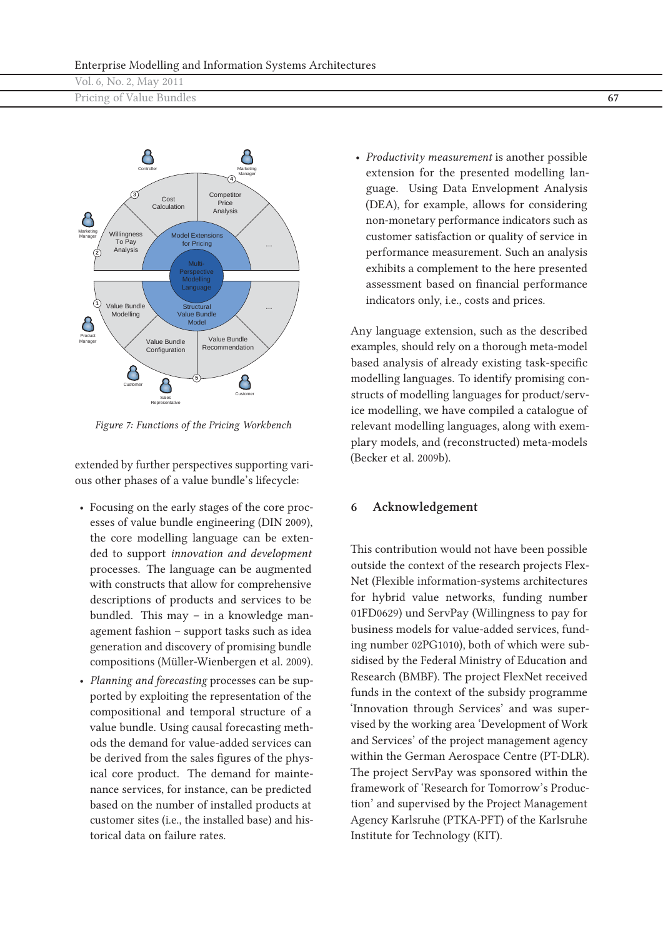| Vol. 6, No. 2, May 2011  |  |
|--------------------------|--|
| Pricing of Value Bundles |  |



*Figure 7: Functions of the Pricing Workbench*

extended by further perspectives supporting various other phases of a value bundle's lifecycle:

- Focusing on the early stages of the core processes of value bundle engineering (DIN 2009), the core modelling language can be extended to support *innovation and development* processes. The language can be augmented with constructs that allow for comprehensive descriptions of products and services to be bundled. This may – in a knowledge management fashion – support tasks such as idea generation and discovery of promising bundle compositions (Müller-Wienbergen et al. 2009).
- *Planning and forecasting* processes can be supported by exploiting the representation of the compositional and temporal structure of a value bundle. Using causal forecasting methods the demand for value-added services can be derived from the sales figures of the physical core product. The demand for maintenance services, for instance, can be predicted based on the number of installed products at customer sites (i.e., the installed base) and historical data on failure rates.

• *Productivity measurement* is another possible extension for the presented modelling language. Using Data Envelopment Analysis (DEA), for example, allows for considering non-monetary performance indicators such as customer satisfaction or quality of service in performance measurement. Such an analysis exhibits a complement to the here presented assessment based on financial performance indicators only, i.e., costs and prices.

Any language extension, such as the described examples, should rely on a thorough meta-model based analysis of already existing task-specific modelling languages. To identify promising constructs of modelling languages for product/service modelling, we have compiled a catalogue of relevant modelling languages, along with exemplary models, and (reconstructed) meta-models (Becker et al. 2009b).

#### **6 Acknowledgement**

This contribution would not have been possible outside the context of the research projects Flex-Net (Flexible information-systems architectures for hybrid value networks, funding number 01FD0629) und ServPay (Willingness to pay for business models for value-added services, funding number 02PG1010), both of which were subsidised by the Federal Ministry of Education and Research (BMBF). The project FlexNet received funds in the context of the subsidy programme 'Innovation through Services' and was supervised by the working area 'Development of Work and Services' of the project management agency within the German Aerospace Centre (PT-DLR). The project ServPay was sponsored within the framework of 'Research for Tomorrow's Production' and supervised by the Project Management Agency Karlsruhe (PTKA-PFT) of the Karlsruhe Institute for Technology (KIT).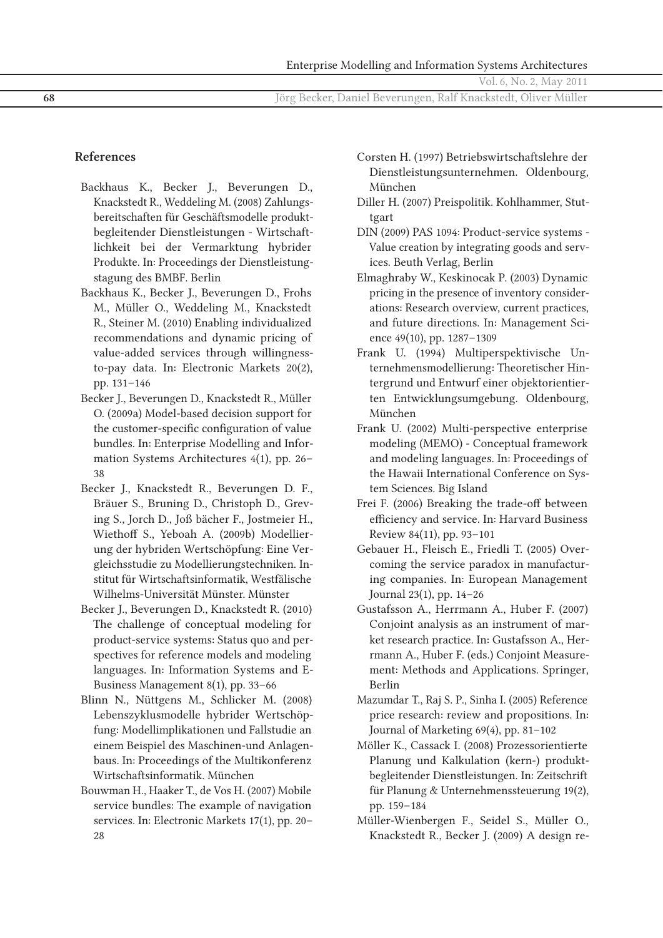|  |  |  |  | Vol. 6, No. 2, May 2011 |  |  |  |
|--|--|--|--|-------------------------|--|--|--|
|--|--|--|--|-------------------------|--|--|--|

#### **References**

- Backhaus K., Becker J., Beverungen D., Knackstedt R., Weddeling M. (2008) Zahlungsbereitschaften für Geschäftsmodelle produktbegleitender Dienstleistungen - Wirtschaftlichkeit bei der Vermarktung hybrider Produkte. In: Proceedings der Dienstleistungstagung des BMBF. Berlin
- Backhaus K., Becker J., Beverungen D., Frohs M., Müller O., Weddeling M., Knackstedt R., Steiner M. (2010) Enabling individualized recommendations and dynamic pricing of value-added services through willingnessto-pay data. In: Electronic Markets 20(2), pp. 131–146
- Becker J., Beverungen D., Knackstedt R., Müller O. (2009a) Model-based decision support for the customer-specific configuration of value bundles. In: Enterprise Modelling and Information Systems Architectures 4(1), pp. 26– 38
- Becker J., Knackstedt R., Beverungen D. F., Bräuer S., Bruning D., Christoph D., Greving S., Jorch D., Joß bächer F., Jostmeier H., Wiethoff S., Yeboah A. (2009b) Modellierung der hybriden Wertschöpfung: Eine Vergleichsstudie zu Modellierungstechniken. Institut für Wirtschaftsinformatik, Westfälische Wilhelms-Universität Münster. Münster
- Becker J., Beverungen D., Knackstedt R. (2010) The challenge of conceptual modeling for product-service systems: Status quo and perspectives for reference models and modeling languages. In: Information Systems and E-Business Management 8(1), pp. 33–66
- Blinn N., Nüttgens M., Schlicker M. (2008) Lebenszyklusmodelle hybrider Wertschöpfung: Modellimplikationen und Fallstudie an einem Beispiel des Maschinen-und Anlagenbaus. In: Proceedings of the Multikonferenz Wirtschaftsinformatik. München
- Bouwman H., Haaker T., de Vos H. (2007) Mobile service bundles: The example of navigation services. In: Electronic Markets 17(1), pp. 20– 28
- Corsten H. (1997) Betriebswirtschaftslehre der Dienstleistungsunternehmen. Oldenbourg, München
- Diller H. (2007) Preispolitik. Kohlhammer, Stuttgart
- DIN (2009) PAS 1094: Product-service systems Value creation by integrating goods and services. Beuth Verlag, Berlin
- Elmaghraby W., Keskinocak P. (2003) Dynamic pricing in the presence of inventory considerations: Research overview, current practices, and future directions. In: Management Science 49(10), pp. 1287–1309
- Frank U. (1994) Multiperspektivische Unternehmensmodellierung: Theoretischer Hintergrund und Entwurf einer objektorientierten Entwicklungsumgebung. Oldenbourg, München
- Frank U. (2002) Multi-perspective enterprise modeling (MEMO) - Conceptual framework and modeling languages. In: Proceedings of the Hawaii International Conference on System Sciences. Big Island
- Frei F. (2006) Breaking the trade-off between efficiency and service. In: Harvard Business Review 84(11), pp. 93–101
- Gebauer H., Fleisch E., Friedli T. (2005) Overcoming the service paradox in manufacturing companies. In: European Management Journal 23(1), pp. 14–26
- Gustafsson A., Herrmann A., Huber F. (2007) Conjoint analysis as an instrument of market research practice. In: Gustafsson A., Herrmann A., Huber F. (eds.) Conjoint Measurement: Methods and Applications. Springer, Berlin
- Mazumdar T., Raj S. P., Sinha I. (2005) Reference price research: review and propositions. In: Journal of Marketing 69(4), pp. 81–102
- Möller K., Cassack I. (2008) Prozessorientierte Planung und Kalkulation (kern-) produktbegleitender Dienstleistungen. In: Zeitschrift für Planung & Unternehmenssteuerung 19(2), pp. 159–184
- Müller-Wienbergen F., Seidel S., Müller O., Knackstedt R., Becker J. (2009) A design re-